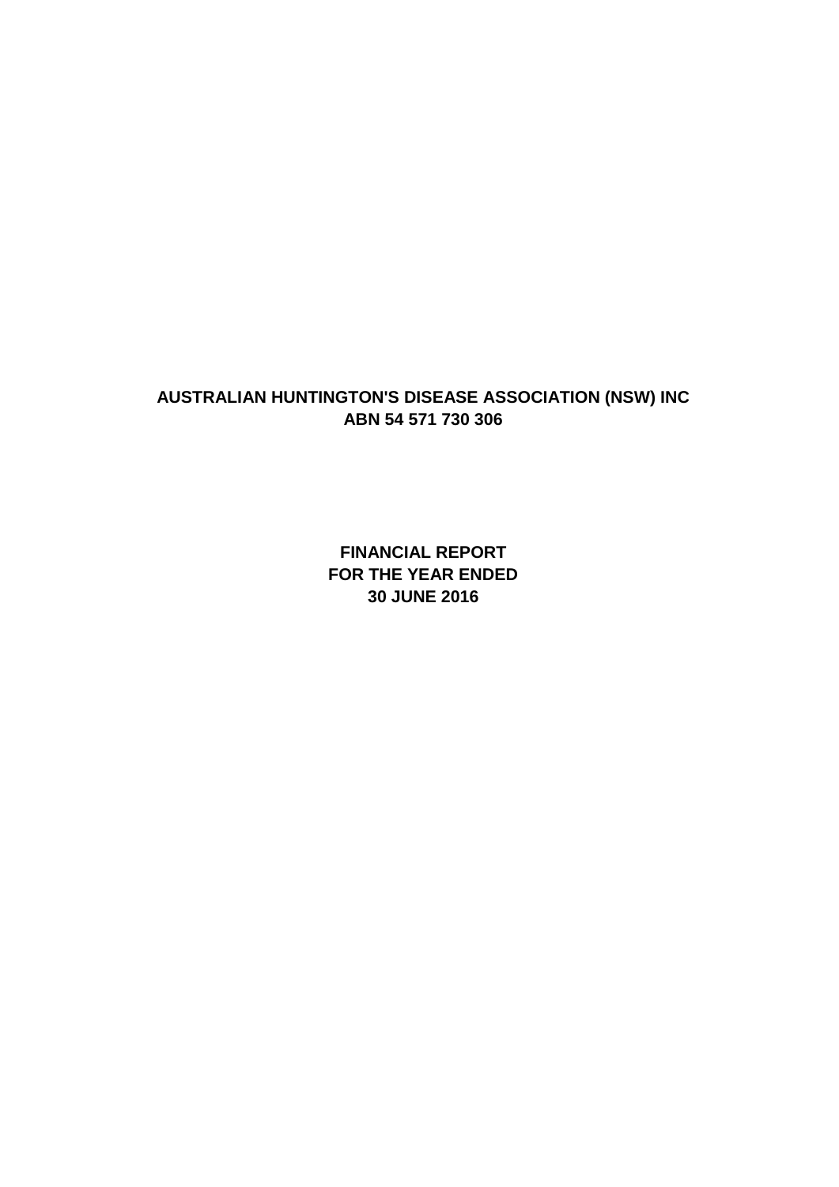**FINANCIAL REPORT FOR THE YEAR ENDED 30 JUNE 2016**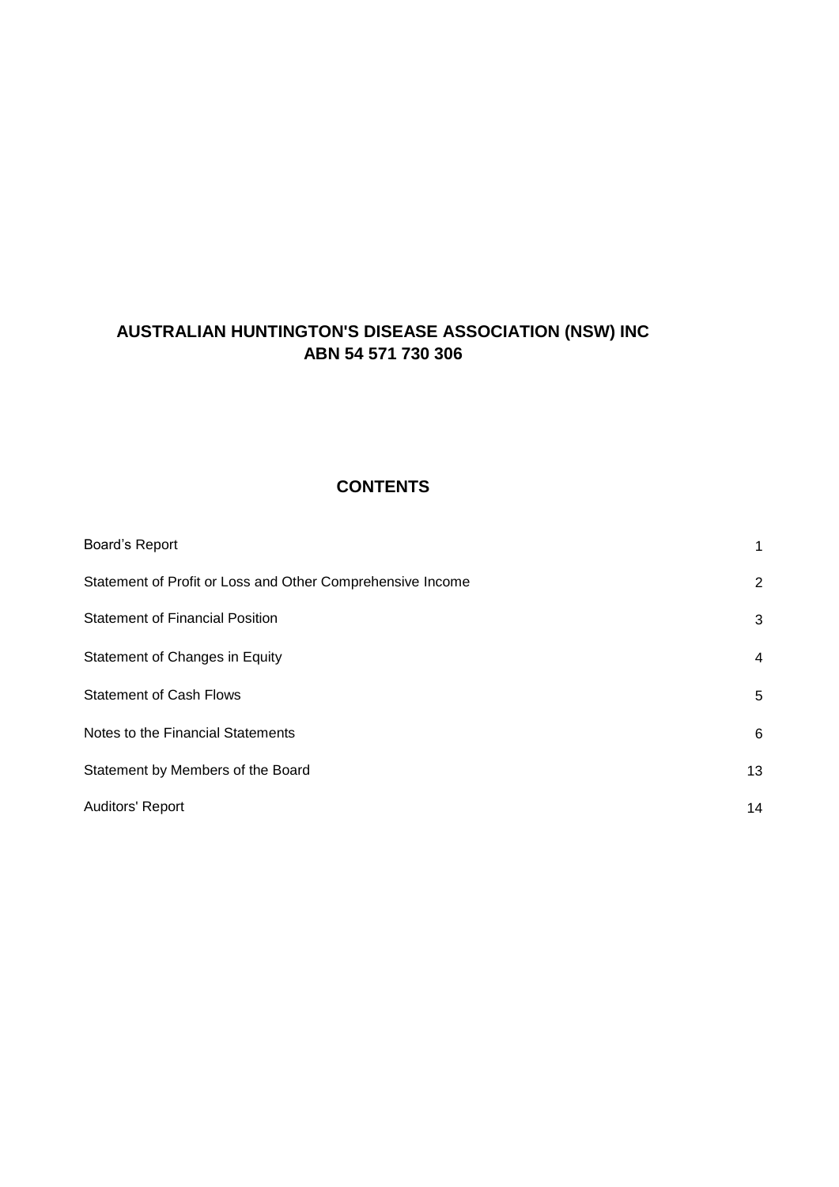## **CONTENTS**

| Board's Report                                             | 1              |
|------------------------------------------------------------|----------------|
| Statement of Profit or Loss and Other Comprehensive Income | $\overline{2}$ |
| <b>Statement of Financial Position</b>                     | 3              |
| Statement of Changes in Equity                             | $\overline{4}$ |
| <b>Statement of Cash Flows</b>                             | 5              |
| Notes to the Financial Statements                          | 6              |
| Statement by Members of the Board                          | 13             |
| Auditors' Report                                           | 14             |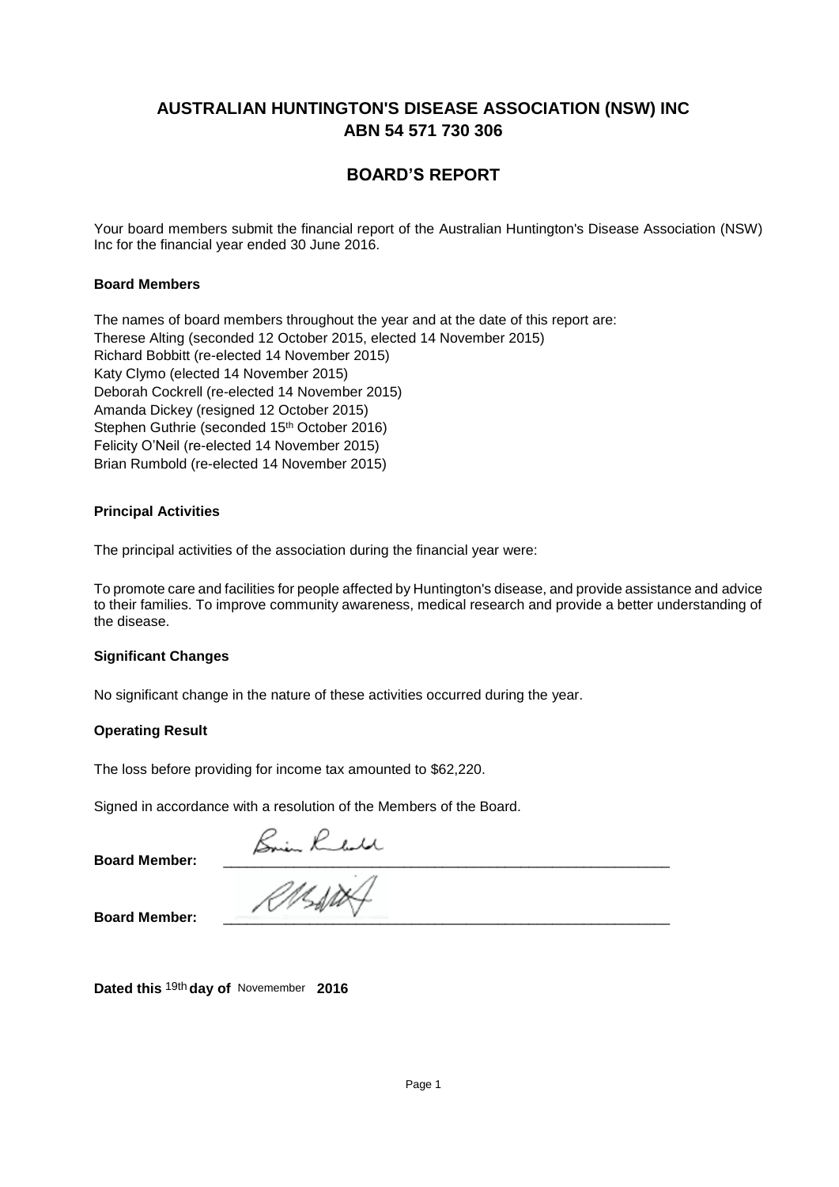## **BOARD'S REPORT**

Your board members submit the financial report of the Australian Huntington's Disease Association (NSW) Inc for the financial year ended 30 June 2016.

### .**Board Members**

The names of board members throughout the year and at the date of this report are: Therese Alting (seconded 12 October 2015, elected 14 November 2015) Therese Alting (seconded 12 October 2015, elected 14 November 2015) Richard Bobbitt (re-elected 14 November 2015) Richard Bobbitt (re-elected 14 November 2015) Katy Clymo (elected 14 November 2015) Deborah Cockrell (re-elected 14 November 2015) Deborah Cockrell (re--elected 14 November 2015) Amanda Dickey (resigned 12 October 2015) Amanda Dickey (resigned 12 October 2015) Strianua Dickey (resigned 12 October 2016)<br>Oktober October (seconded 15th October 2016) Stephen Guthrie (seconded 15<sup>th</sup> October 2016) Felicity O'Neil (re-elected 14 November 2015) Brian Rumbold (re-elected 14 November 2015)

### **Principal Activities**

The principal activities of the association during the financial year were:

To promote care and facilities for people affected by Huntington's disease, and provide assistance and advice to their families. To improve community awareness, medical research and provide a better understanding of the disease.

#### **Significant Changes**

No significant change in the nature of these activities occurred during the year.

#### **Operating Result**

The loss before providing for income tax amounted to \$62,220.

Signed in accordance with a resolution of the Members of the Board.

**Board Member:** \_\_\_\_\_\_\_\_\_\_\_\_\_\_\_\_\_\_\_\_\_\_\_\_\_\_\_\_\_\_\_\_\_\_\_\_\_\_\_\_\_\_\_\_\_\_\_\_\_\_\_\_\_\_\_\_\_

**Board Member:** 

Dated this <sup>19th</sup> day of Novemember 2016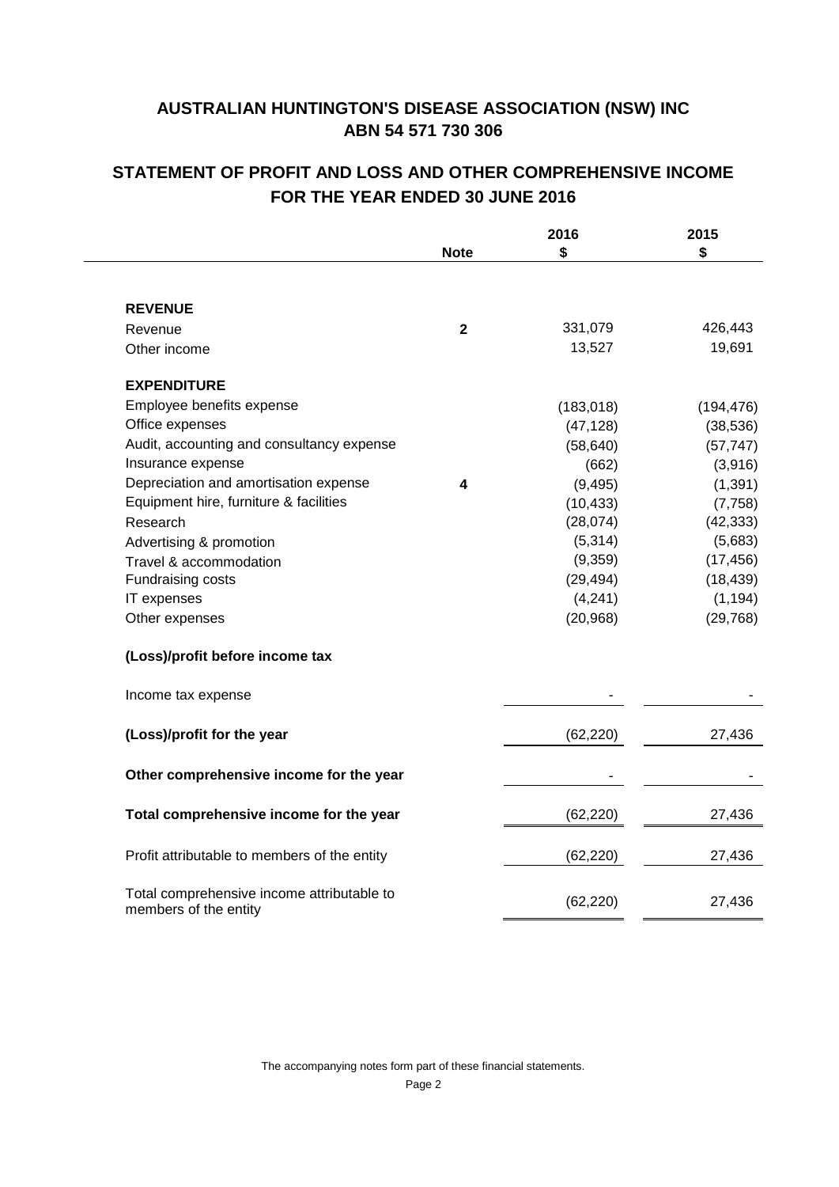# **STATEMENT OF PROFIT AND LOSS AND OTHER COMPREHENSIVE INCOME FOR THE YEAR ENDED 30 JUNE 2016**

|                                                                     |             | 2016       | 2015       |
|---------------------------------------------------------------------|-------------|------------|------------|
|                                                                     | <b>Note</b> | \$         | \$         |
| <b>REVENUE</b>                                                      |             |            |            |
| Revenue                                                             | $\mathbf 2$ | 331,079    | 426,443    |
| Other income                                                        |             | 13,527     | 19,691     |
| <b>EXPENDITURE</b>                                                  |             |            |            |
| Employee benefits expense                                           |             | (183, 018) | (194, 476) |
| Office expenses                                                     |             | (47, 128)  | (38, 536)  |
| Audit, accounting and consultancy expense                           |             | (58, 640)  | (57, 747)  |
| Insurance expense                                                   |             | (662)      | (3,916)    |
| Depreciation and amortisation expense                               | 4           | (9, 495)   | (1, 391)   |
| Equipment hire, furniture & facilities                              |             | (10, 433)  | (7, 758)   |
| Research                                                            |             | (28,074)   | (42, 333)  |
| Advertising & promotion                                             |             | (5, 314)   | (5,683)    |
| Travel & accommodation                                              |             | (9,359)    | (17, 456)  |
| Fundraising costs                                                   |             | (29, 494)  | (18, 439)  |
| IT expenses                                                         |             | (4,241)    | (1, 194)   |
| Other expenses                                                      |             | (20, 968)  | (29, 768)  |
| (Loss)/profit before income tax                                     |             |            |            |
| Income tax expense                                                  |             |            |            |
| (Loss)/profit for the year                                          |             | (62, 220)  | 27,436     |
| Other comprehensive income for the year                             |             |            |            |
| Total comprehensive income for the year                             |             | (62, 220)  | 27,436     |
| Profit attributable to members of the entity                        |             | (62, 220)  | 27,436     |
| Total comprehensive income attributable to<br>members of the entity |             | (62, 220)  | 27,436     |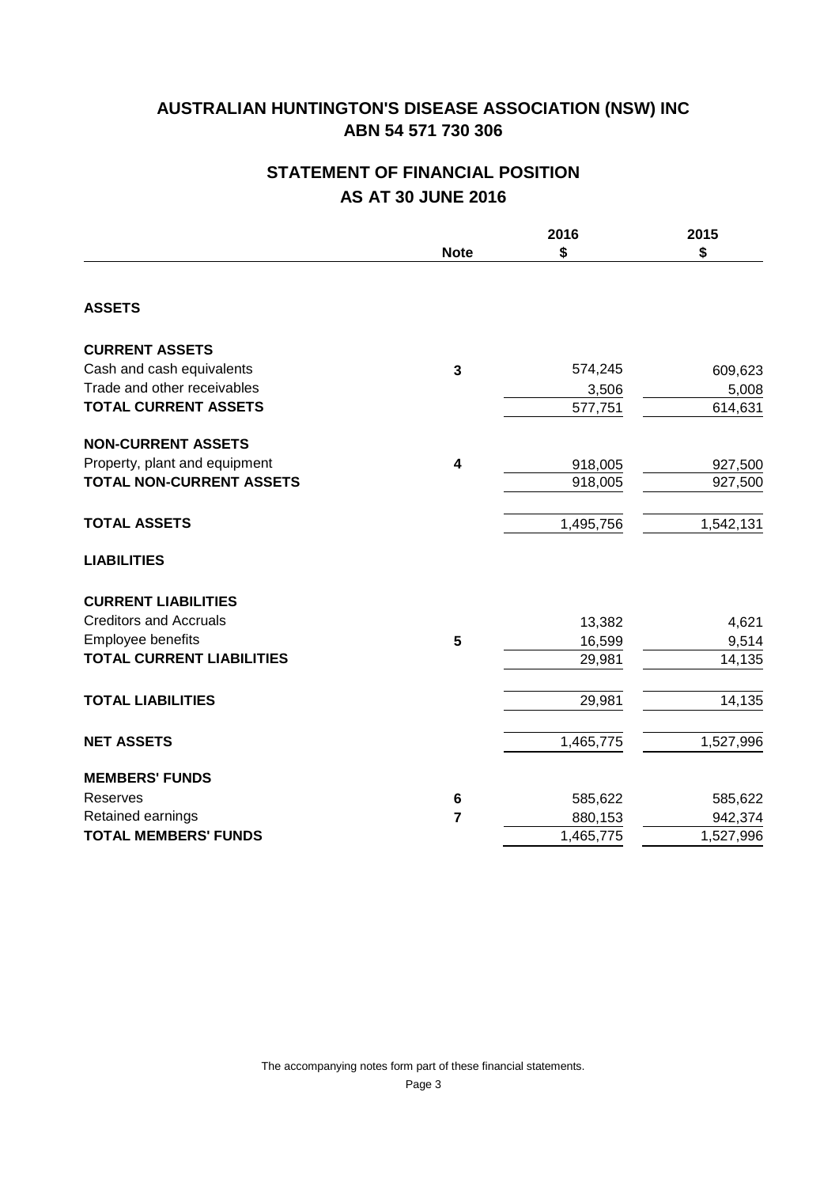# **STATEMENT OF FINANCIAL POSITION AS AT 30 JUNE 2016**

|                                  | <b>Note</b>     | 2016<br>\$ | 2015<br>\$ |
|----------------------------------|-----------------|------------|------------|
| <b>ASSETS</b>                    |                 |            |            |
| <b>CURRENT ASSETS</b>            |                 |            |            |
| Cash and cash equivalents        | 3               | 574,245    | 609,623    |
| Trade and other receivables      |                 | 3,506      | 5,008      |
| <b>TOTAL CURRENT ASSETS</b>      |                 | 577,751    | 614,631    |
| <b>NON-CURRENT ASSETS</b>        |                 |            |            |
| Property, plant and equipment    | 4               | 918,005    | 927,500    |
| <b>TOTAL NON-CURRENT ASSETS</b>  |                 | 918,005    | 927,500    |
| <b>TOTAL ASSETS</b>              |                 | 1,495,756  | 1,542,131  |
| <b>LIABILITIES</b>               |                 |            |            |
| <b>CURRENT LIABILITIES</b>       |                 |            |            |
| <b>Creditors and Accruals</b>    |                 | 13,382     | 4,621      |
| Employee benefits                | $5\phantom{.0}$ | 16,599     | 9,514      |
| <b>TOTAL CURRENT LIABILITIES</b> |                 | 29,981     | 14,135     |
| <b>TOTAL LIABILITIES</b>         |                 | 29,981     | 14,135     |
| <b>NET ASSETS</b>                |                 | 1,465,775  | 1,527,996  |
| <b>MEMBERS' FUNDS</b>            |                 |            |            |
| Reserves                         | $\bf 6$         | 585,622    | 585,622    |
| Retained earnings                | $\overline{7}$  | 880,153    | 942,374    |
| <b>TOTAL MEMBERS' FUNDS</b>      |                 | 1,465,775  | 1,527,996  |

Page 3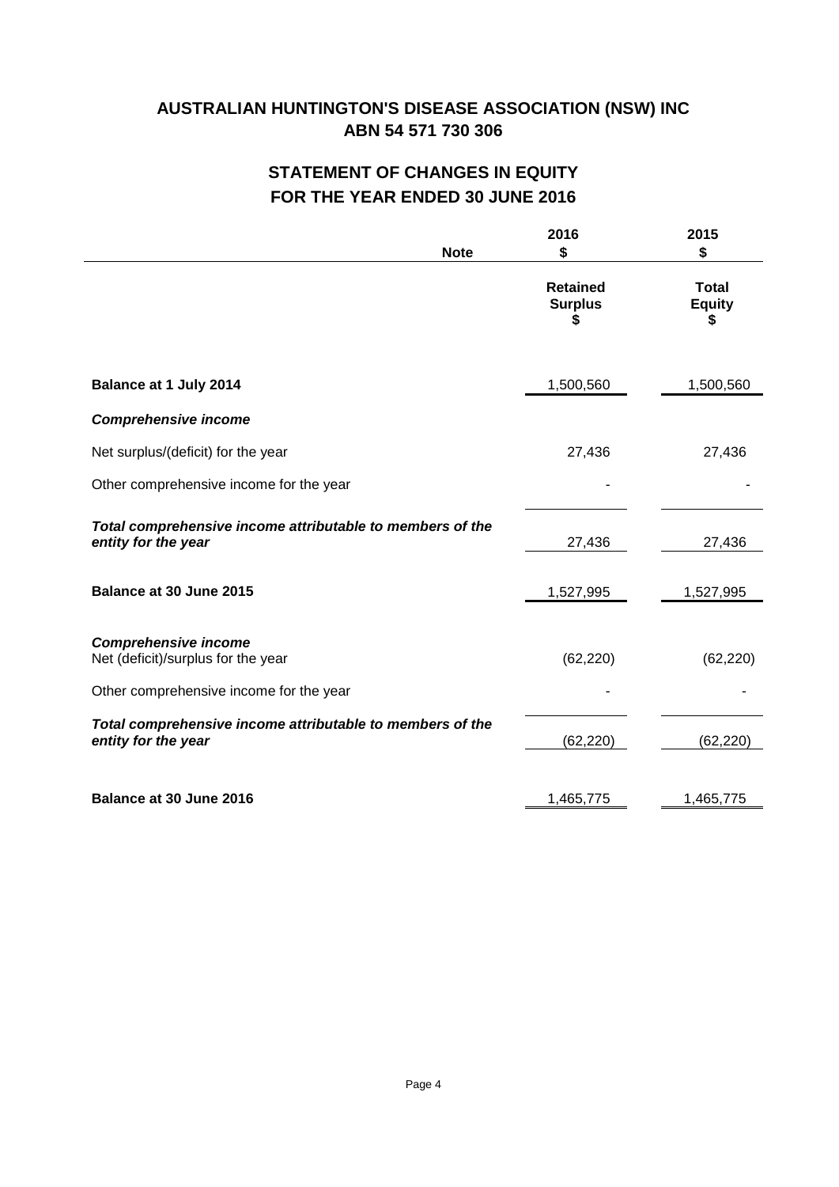# **STATEMENT OF CHANGES IN EQUITY FOR THE YEAR ENDED 30 JUNE 2016**

|                                                                                                              | 2016<br>\$<br><b>Note</b>              | 2015<br>\$                         |
|--------------------------------------------------------------------------------------------------------------|----------------------------------------|------------------------------------|
|                                                                                                              | <b>Retained</b><br><b>Surplus</b><br>S | <b>Total</b><br><b>Equity</b><br>S |
| Balance at 1 July 2014                                                                                       | 1,500,560                              | 1,500,560                          |
| <b>Comprehensive income</b>                                                                                  |                                        |                                    |
| Net surplus/(deficit) for the year                                                                           | 27,436                                 | 27,436                             |
| Other comprehensive income for the year                                                                      |                                        |                                    |
| Total comprehensive income attributable to members of the<br>entity for the year                             | 27,436                                 | 27,436                             |
| Balance at 30 June 2015                                                                                      | 1,527,995                              | 1,527,995                          |
| <b>Comprehensive income</b><br>Net (deficit)/surplus for the year<br>Other comprehensive income for the year | (62, 220)                              | (62, 220)                          |
|                                                                                                              |                                        |                                    |
| Total comprehensive income attributable to members of the<br>entity for the year                             | (62, 220)                              | (62, 220)                          |
| <b>Balance at 30 June 2016</b>                                                                               | 1,465,775                              | 1,465,775                          |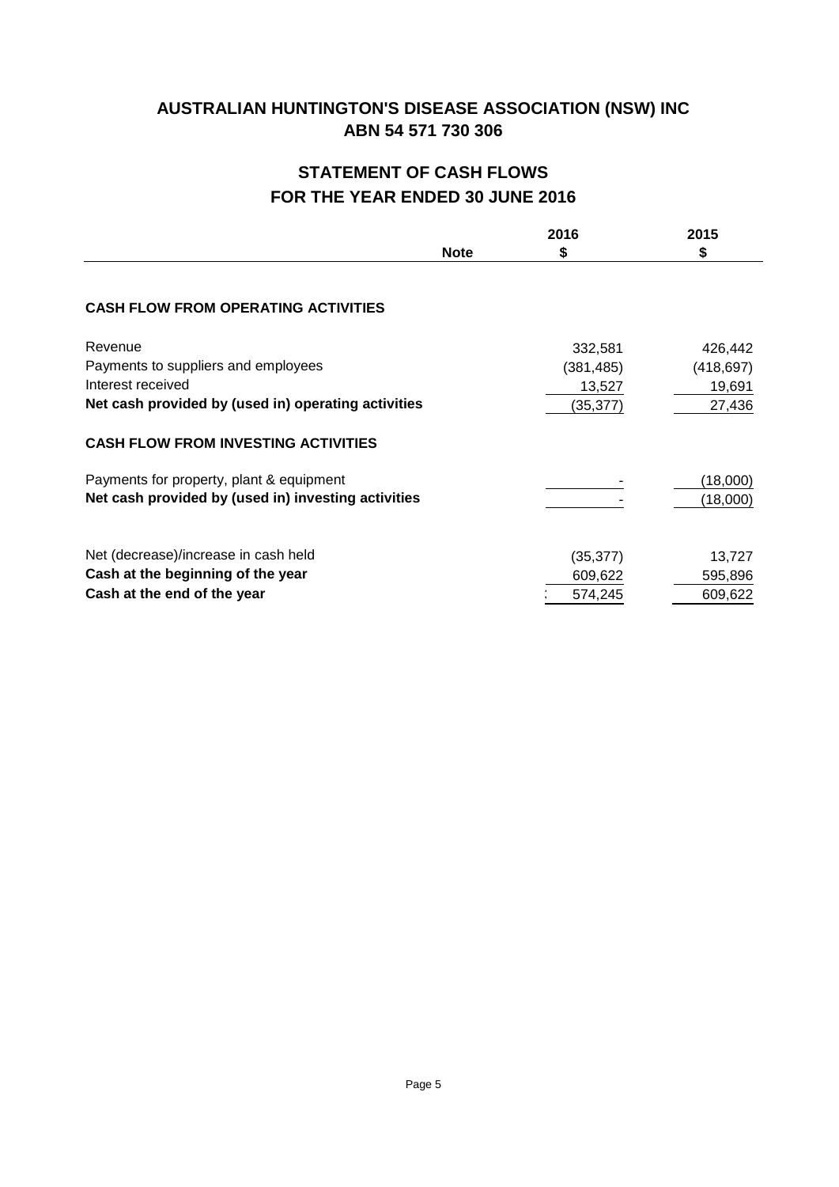# **STATEMENT OF CASH FLOWS FOR THE YEAR ENDED 30 JUNE 2016**

|                                                     |             | 2016      | 2015       |
|-----------------------------------------------------|-------------|-----------|------------|
|                                                     | <b>Note</b> | S         | \$         |
|                                                     |             |           |            |
| <b>CASH FLOW FROM OPERATING ACTIVITIES</b>          |             |           |            |
| Revenue                                             |             | 332,581   | 426,442    |
| Payments to suppliers and employees                 |             | (381,485) | (418, 697) |
| Interest received                                   |             | 13,527    | 19,691     |
| Net cash provided by (used in) operating activities |             | (35, 377) | 27,436     |
| <b>CASH FLOW FROM INVESTING ACTIVITIES</b>          |             |           |            |
| Payments for property, plant & equipment            |             |           | (18,000)   |
| Net cash provided by (used in) investing activities |             |           | (18,000)   |
| Net (decrease)/increase in cash held                |             | (35, 377) | 13,727     |
| Cash at the beginning of the year                   |             | 609,622   | 595,896    |
| Cash at the end of the year                         |             | 574,245   | 609,622    |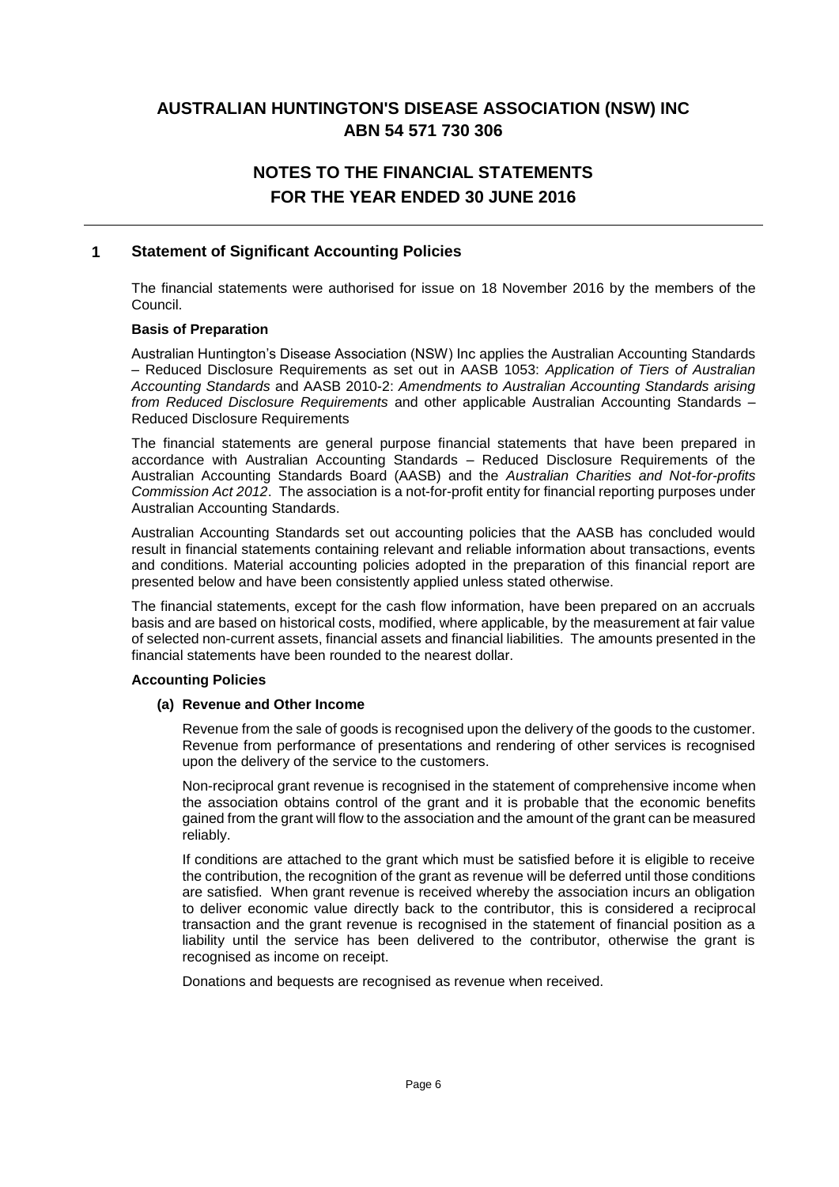# **NOTES TO THE FINANCIAL STATEMENTS FOR THE YEAR ENDED 30 JUNE 2016**

### **1 Statement of Significant Accounting Policies**

The financial statements were authorised for issue on 18 November 2016 by the members of the Council.

#### **Basis of Preparation**

Australian Huntington's Disease Association (NSW) Inc applies the Australian Accounting Standards – Reduced Disclosure Requirements as set out in AASB 1053: *Application of Tiers of Australian Accounting Standards* and AASB 2010-2: *Amendments to Australian Accounting Standards arising from Reduced Disclosure Requirements* and other applicable Australian Accounting Standards – Reduced Disclosure Requirements

The financial statements are general purpose financial statements that have been prepared in accordance with Australian Accounting Standards – Reduced Disclosure Requirements of the Australian Accounting Standards Board (AASB) and the *Australian Charities and Not-for-profits Commission Act 2012*. The association is a not-for-profit entity for financial reporting purposes under Australian Accounting Standards.

Australian Accounting Standards set out accounting policies that the AASB has concluded would result in financial statements containing relevant and reliable information about transactions, events and conditions. Material accounting policies adopted in the preparation of this financial report are presented below and have been consistently applied unless stated otherwise.

The financial statements, except for the cash flow information, have been prepared on an accruals basis and are based on historical costs, modified, where applicable, by the measurement at fair value of selected non-current assets, financial assets and financial liabilities. The amounts presented in the financial statements have been rounded to the nearest dollar.

### **Accounting Policies**

#### **(a) Revenue and Other Income**

Revenue from the sale of goods is recognised upon the delivery of the goods to the customer. Revenue from performance of presentations and rendering of other services is recognised upon the delivery of the service to the customers.

Non-reciprocal grant revenue is recognised in the statement of comprehensive income when the association obtains control of the grant and it is probable that the economic benefits gained from the grant will flow to the association and the amount of the grant can be measured reliably.

If conditions are attached to the grant which must be satisfied before it is eligible to receive the contribution, the recognition of the grant as revenue will be deferred until those conditions are satisfied. When grant revenue is received whereby the association incurs an obligation to deliver economic value directly back to the contributor, this is considered a reciprocal transaction and the grant revenue is recognised in the statement of financial position as a liability until the service has been delivered to the contributor, otherwise the grant is recognised as income on receipt.

Donations and bequests are recognised as revenue when received.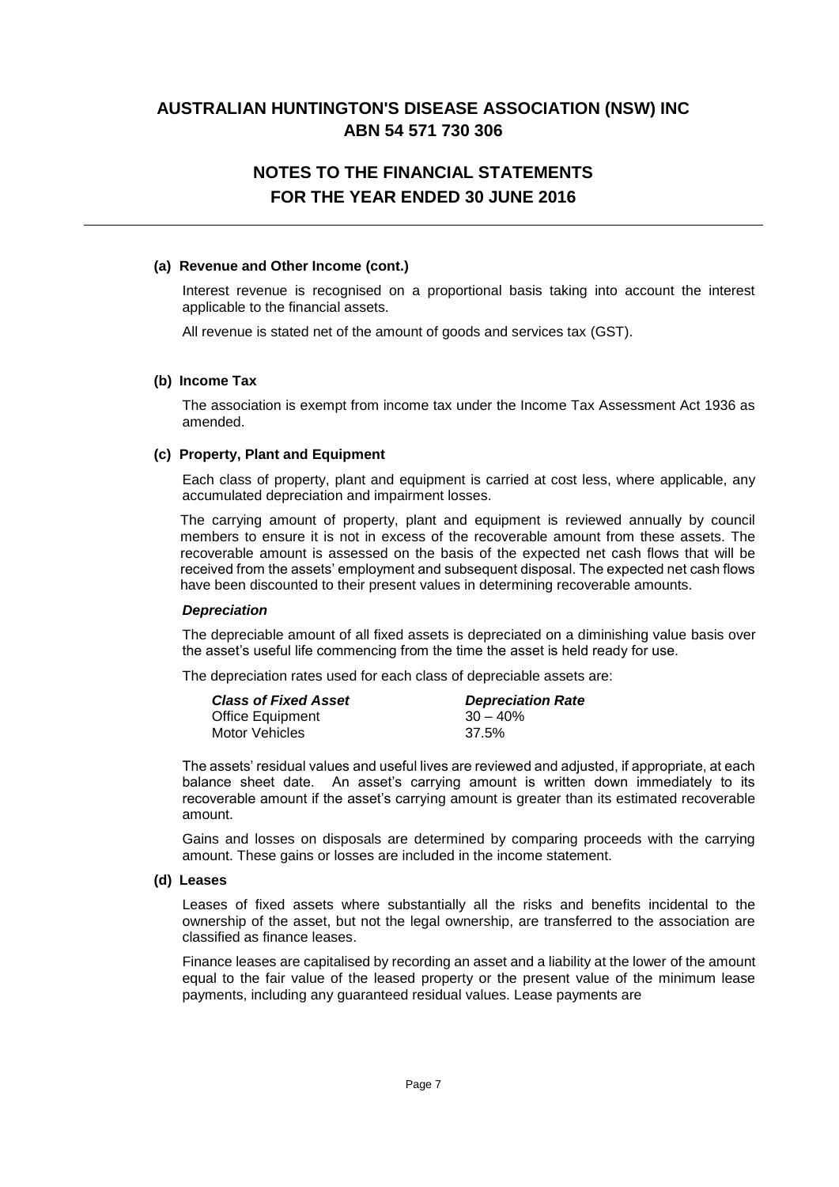# **NOTES TO THE FINANCIAL STATEMENTS FOR THE YEAR ENDED 30 JUNE 2016**

#### **(a) Revenue and Other Income (cont.)**

Interest revenue is recognised on a proportional basis taking into account the interest applicable to the financial assets.

All revenue is stated net of the amount of goods and services tax (GST).

#### **(b) Income Tax**

The association is exempt from income tax under the Income Tax Assessment Act 1936 as amended.

#### **(c) Property, Plant and Equipment**

Each class of property, plant and equipment is carried at cost less, where applicable, any accumulated depreciation and impairment losses.

The carrying amount of property, plant and equipment is reviewed annually by council members to ensure it is not in excess of the recoverable amount from these assets. The recoverable amount is assessed on the basis of the expected net cash flows that will be received from the assets' employment and subsequent disposal. The expected net cash flows have been discounted to their present values in determining recoverable amounts.

### *Depreciation*

The depreciable amount of all fixed assets is depreciated on a diminishing value basis over the asset's useful life commencing from the time the asset is held ready for use.

The depreciation rates used for each class of depreciable assets are:

| <b>Class of Fixed Asset</b> | <b>Depreciation Rate</b> |
|-----------------------------|--------------------------|
| <b>Office Equipment</b>     | $30 - 40\%$              |
| Motor Vehicles              | 37.5%                    |

The assets' residual values and useful lives are reviewed and adjusted, if appropriate, at each balance sheet date. An asset's carrying amount is written down immediately to its recoverable amount if the asset's carrying amount is greater than its estimated recoverable amount.

Gains and losses on disposals are determined by comparing proceeds with the carrying amount. These gains or losses are included in the income statement.

#### **(d) Leases**

Leases of fixed assets where substantially all the risks and benefits incidental to the ownership of the asset, but not the legal ownership, are transferred to the association are classified as finance leases.

Finance leases are capitalised by recording an asset and a liability at the lower of the amount equal to the fair value of the leased property or the present value of the minimum lease payments, including any guaranteed residual values. Lease payments are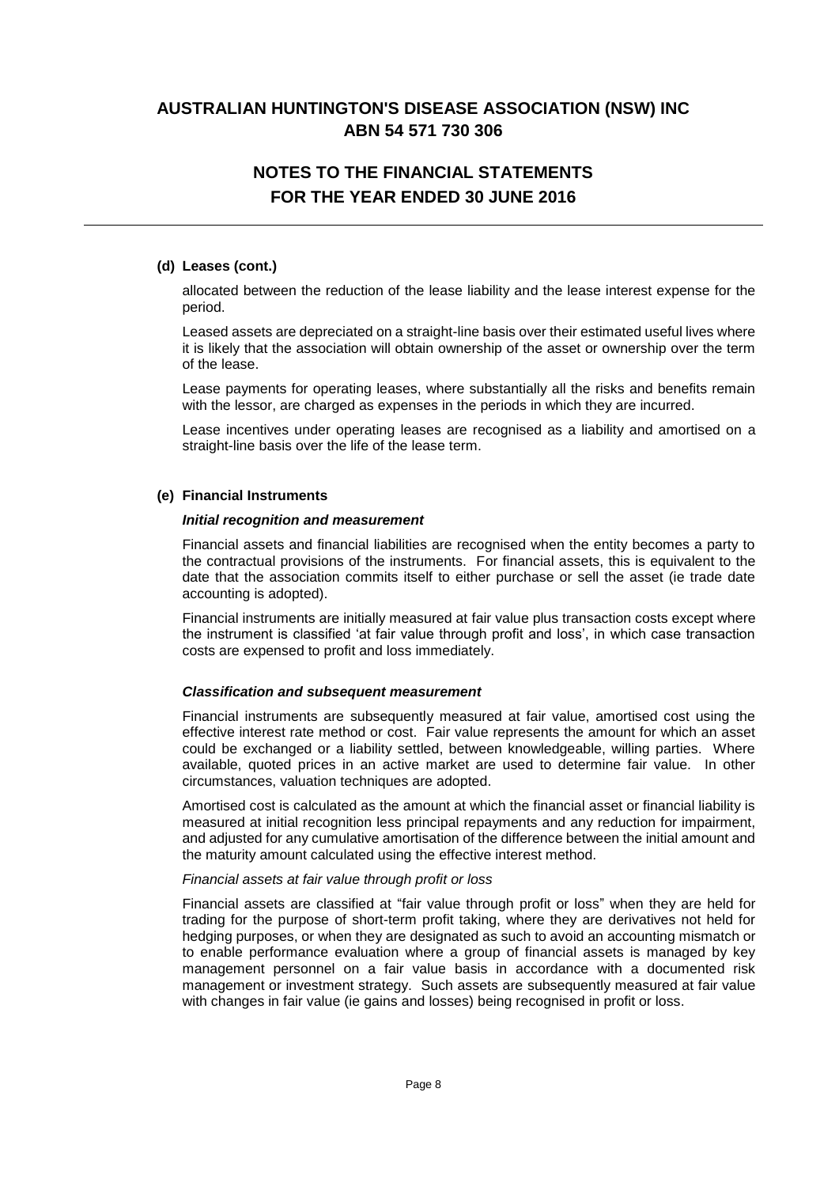# **NOTES TO THE FINANCIAL STATEMENTS FOR THE YEAR ENDED 30 JUNE 2016**

### **(d) Leases (cont.)**

allocated between the reduction of the lease liability and the lease interest expense for the period.

Leased assets are depreciated on a straight-line basis over their estimated useful lives where it is likely that the association will obtain ownership of the asset or ownership over the term of the lease.

Lease payments for operating leases, where substantially all the risks and benefits remain with the lessor, are charged as expenses in the periods in which they are incurred.

Lease incentives under operating leases are recognised as a liability and amortised on a straight-line basis over the life of the lease term.

#### **(e) Financial Instruments**

#### *Initial recognition and measurement*

Financial assets and financial liabilities are recognised when the entity becomes a party to the contractual provisions of the instruments. For financial assets, this is equivalent to the date that the association commits itself to either purchase or sell the asset (ie trade date accounting is adopted).

Financial instruments are initially measured at fair value plus transaction costs except where the instrument is classified 'at fair value through profit and loss', in which case transaction costs are expensed to profit and loss immediately.

#### *Classification and subsequent measurement*

Financial instruments are subsequently measured at fair value, amortised cost using the effective interest rate method or cost. Fair value represents the amount for which an asset could be exchanged or a liability settled, between knowledgeable, willing parties. Where available, quoted prices in an active market are used to determine fair value. In other circumstances, valuation techniques are adopted.

Amortised cost is calculated as the amount at which the financial asset or financial liability is measured at initial recognition less principal repayments and any reduction for impairment, and adjusted for any cumulative amortisation of the difference between the initial amount and the maturity amount calculated using the effective interest method.

#### *Financial assets at fair value through profit or loss*

Financial assets are classified at "fair value through profit or loss" when they are held for trading for the purpose of short-term profit taking, where they are derivatives not held for hedging purposes, or when they are designated as such to avoid an accounting mismatch or to enable performance evaluation where a group of financial assets is managed by key management personnel on a fair value basis in accordance with a documented risk management or investment strategy. Such assets are subsequently measured at fair value with changes in fair value (ie gains and losses) being recognised in profit or loss.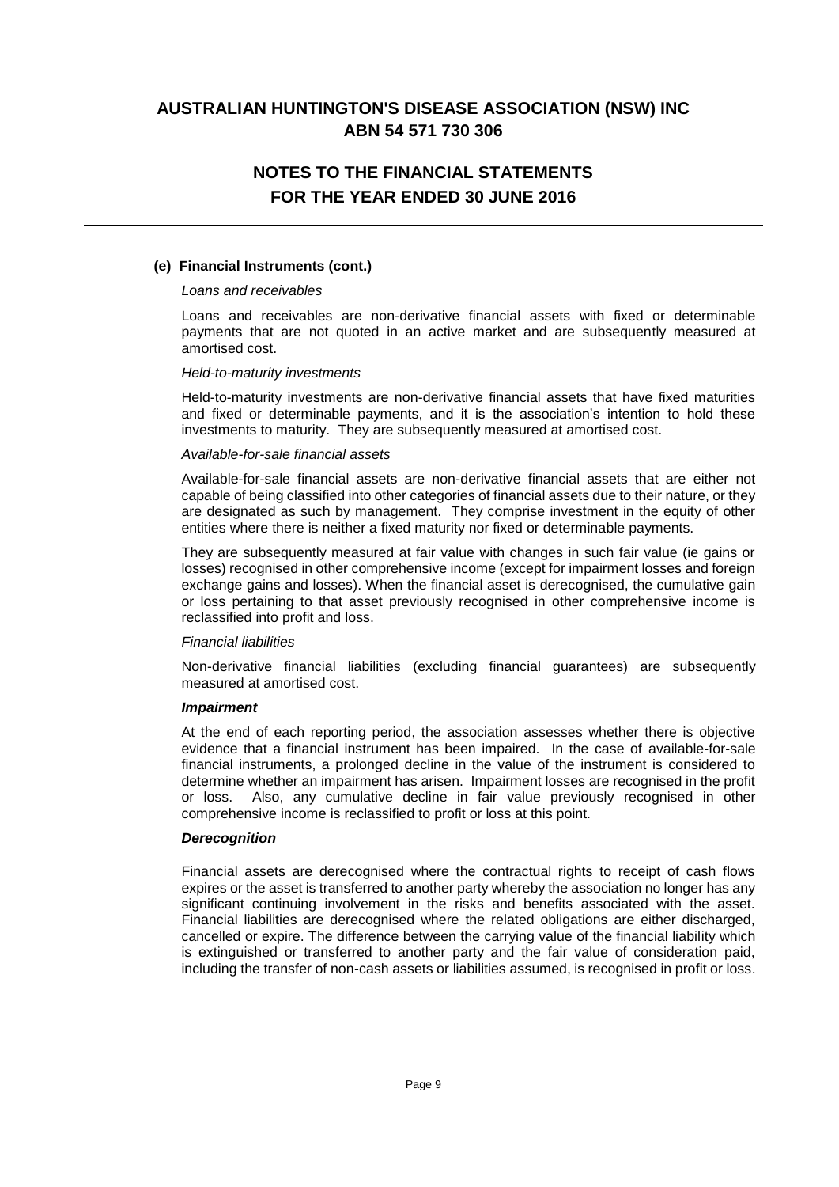# **NOTES TO THE FINANCIAL STATEMENTS FOR THE YEAR ENDED 30 JUNE 2016**

### **(e) Financial Instruments (cont.)**

#### *Loans and receivables*

Loans and receivables are non-derivative financial assets with fixed or determinable payments that are not quoted in an active market and are subsequently measured at amortised cost.

#### *Held-to-maturity investments*

Held-to-maturity investments are non-derivative financial assets that have fixed maturities and fixed or determinable payments, and it is the association's intention to hold these investments to maturity. They are subsequently measured at amortised cost.

#### *Available-for-sale financial assets*

Available-for-sale financial assets are non-derivative financial assets that are either not capable of being classified into other categories of financial assets due to their nature, or they are designated as such by management. They comprise investment in the equity of other entities where there is neither a fixed maturity nor fixed or determinable payments.

They are subsequently measured at fair value with changes in such fair value (ie gains or losses) recognised in other comprehensive income (except for impairment losses and foreign exchange gains and losses). When the financial asset is derecognised, the cumulative gain or loss pertaining to that asset previously recognised in other comprehensive income is reclassified into profit and loss.

### *Financial liabilities*

Non-derivative financial liabilities (excluding financial guarantees) are subsequently measured at amortised cost.

#### *Impairment*

At the end of each reporting period, the association assesses whether there is objective evidence that a financial instrument has been impaired. In the case of available-for-sale financial instruments, a prolonged decline in the value of the instrument is considered to determine whether an impairment has arisen. Impairment losses are recognised in the profit or loss. Also, any cumulative decline in fair value previously recognised in other comprehensive income is reclassified to profit or loss at this point.

#### *Derecognition*

Financial assets are derecognised where the contractual rights to receipt of cash flows expires or the asset is transferred to another party whereby the association no longer has any significant continuing involvement in the risks and benefits associated with the asset. Financial liabilities are derecognised where the related obligations are either discharged, cancelled or expire. The difference between the carrying value of the financial liability which is extinguished or transferred to another party and the fair value of consideration paid, including the transfer of non-cash assets or liabilities assumed, is recognised in profit or loss.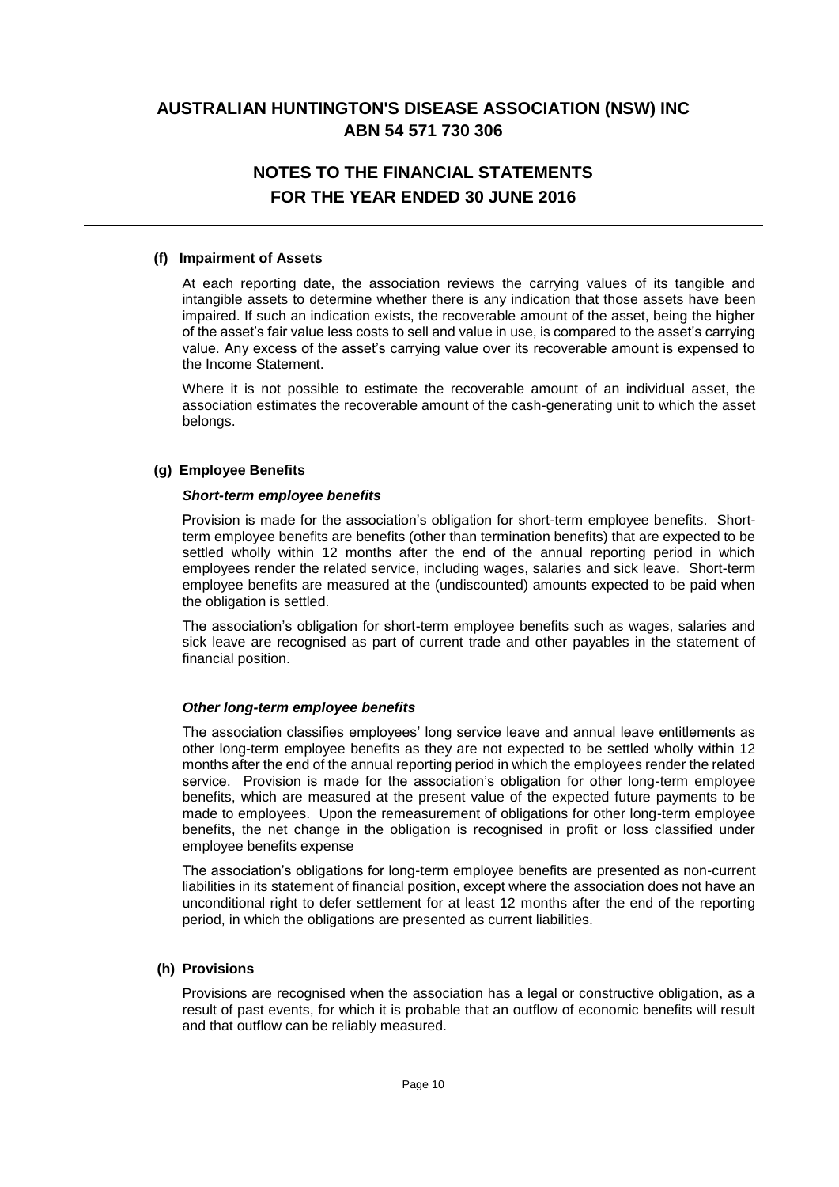# **NOTES TO THE FINANCIAL STATEMENTS FOR THE YEAR ENDED 30 JUNE 2016**

#### **(f) Impairment of Assets**

At each reporting date, the association reviews the carrying values of its tangible and intangible assets to determine whether there is any indication that those assets have been impaired. If such an indication exists, the recoverable amount of the asset, being the higher of the asset's fair value less costs to sell and value in use, is compared to the asset's carrying value. Any excess of the asset's carrying value over its recoverable amount is expensed to the Income Statement.

Where it is not possible to estimate the recoverable amount of an individual asset, the association estimates the recoverable amount of the cash-generating unit to which the asset belongs.

### **(g) Employee Benefits**

#### *Short-term employee benefits*

Provision is made for the association's obligation for short-term employee benefits. Shortterm employee benefits are benefits (other than termination benefits) that are expected to be settled wholly within 12 months after the end of the annual reporting period in which employees render the related service, including wages, salaries and sick leave. Short-term employee benefits are measured at the (undiscounted) amounts expected to be paid when the obligation is settled.

The association's obligation for short-term employee benefits such as wages, salaries and sick leave are recognised as part of current trade and other payables in the statement of financial position.

### *Other long-term employee benefits*

The association classifies employees' long service leave and annual leave entitlements as other long-term employee benefits as they are not expected to be settled wholly within 12 months after the end of the annual reporting period in which the employees render the related service. Provision is made for the association's obligation for other long-term employee benefits, which are measured at the present value of the expected future payments to be made to employees. Upon the remeasurement of obligations for other long-term employee benefits, the net change in the obligation is recognised in profit or loss classified under employee benefits expense

The association's obligations for long-term employee benefits are presented as non-current liabilities in its statement of financial position, except where the association does not have an unconditional right to defer settlement for at least 12 months after the end of the reporting period, in which the obligations are presented as current liabilities.

#### **(h) Provisions**

Provisions are recognised when the association has a legal or constructive obligation, as a result of past events, for which it is probable that an outflow of economic benefits will result and that outflow can be reliably measured.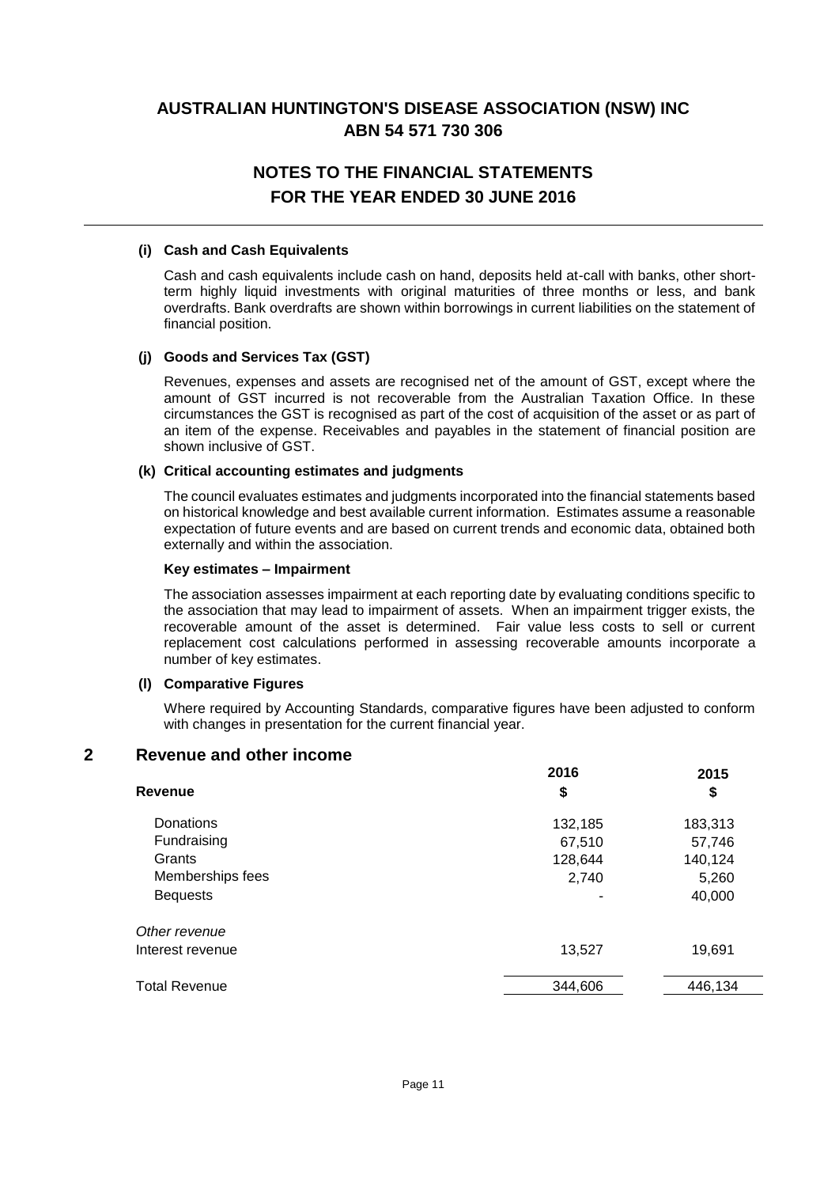# **NOTES TO THE FINANCIAL STATEMENTS FOR THE YEAR ENDED 30 JUNE 2016**

### **(i) Cash and Cash Equivalents**

Cash and cash equivalents include cash on hand, deposits held at-call with banks, other shortterm highly liquid investments with original maturities of three months or less, and bank overdrafts. Bank overdrafts are shown within borrowings in current liabilities on the statement of financial position.

### **(j) Goods and Services Tax (GST)**

Revenues, expenses and assets are recognised net of the amount of GST, except where the amount of GST incurred is not recoverable from the Australian Taxation Office. In these circumstances the GST is recognised as part of the cost of acquisition of the asset or as part of an item of the expense. Receivables and payables in the statement of financial position are shown inclusive of GST.

#### **(k) Critical accounting estimates and judgments**

The council evaluates estimates and judgments incorporated into the financial statements based on historical knowledge and best available current information. Estimates assume a reasonable expectation of future events and are based on current trends and economic data, obtained both externally and within the association.

#### **Key estimates – Impairment**

The association assesses impairment at each reporting date by evaluating conditions specific to the association that may lead to impairment of assets. When an impairment trigger exists, the recoverable amount of the asset is determined. Fair value less costs to sell or current replacement cost calculations performed in assessing recoverable amounts incorporate a number of key estimates.

#### **(l) Comparative Figures**

Where required by Accounting Standards, comparative figures have been adjusted to conform with changes in presentation for the current financial year.

### **2 Revenue and other income**

|                      | 2016    | 2015    |
|----------------------|---------|---------|
| Revenue              | \$      | \$      |
| Donations            | 132,185 | 183,313 |
| Fundraising          | 67,510  | 57,746  |
| Grants               | 128,644 | 140,124 |
| Memberships fees     | 2,740   | 5,260   |
| <b>Bequests</b>      |         | 40,000  |
| Other revenue        |         |         |
| Interest revenue     | 13,527  | 19,691  |
| <b>Total Revenue</b> | 344,606 | 446,134 |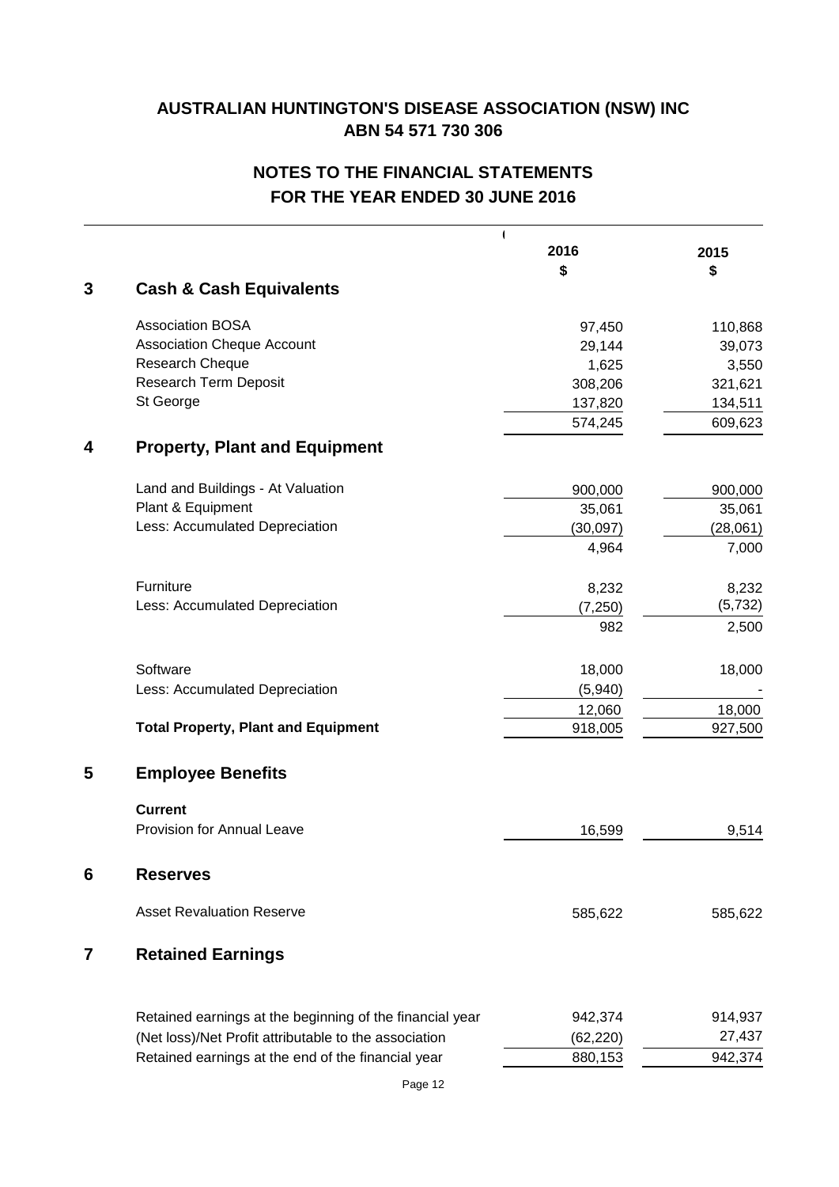# **NOTES TO THE FINANCIAL STATEMENTS FOR THE YEAR ENDED 30 JUNE 2016**

|   | $\overline{\phantom{a}}$                                 | 2016      | 2015     |
|---|----------------------------------------------------------|-----------|----------|
| 3 | <b>Cash &amp; Cash Equivalents</b>                       | \$        | \$       |
|   |                                                          |           |          |
|   | <b>Association BOSA</b>                                  | 97,450    | 110,868  |
|   | <b>Association Cheque Account</b>                        | 29,144    | 39,073   |
|   | Research Cheque                                          | 1,625     | 3,550    |
|   | Research Term Deposit                                    | 308,206   | 321,621  |
|   | St George                                                | 137,820   | 134,511  |
|   |                                                          | 574,245   | 609,623  |
| 4 | <b>Property, Plant and Equipment</b>                     |           |          |
|   | Land and Buildings - At Valuation                        | 900,000   | 900,000  |
|   | Plant & Equipment                                        | 35,061    | 35,061   |
|   | Less: Accumulated Depreciation                           | (30,097)  | (28,061) |
|   |                                                          | 4,964     | 7,000    |
|   | Furniture                                                | 8,232     | 8,232    |
|   | Less: Accumulated Depreciation                           | (7, 250)  | (5, 732) |
|   |                                                          | 982       | 2,500    |
|   | Software                                                 | 18,000    | 18,000   |
|   | Less: Accumulated Depreciation                           | (5,940)   |          |
|   |                                                          | 12,060    | 18,000   |
|   | <b>Total Property, Plant and Equipment</b>               | 918,005   | 927,500  |
| 5 | <b>Employee Benefits</b>                                 |           |          |
|   | <b>Current</b>                                           |           |          |
|   | <b>Provision for Annual Leave</b>                        | 16,599    | 9,514    |
| 6 | <b>Reserves</b>                                          |           |          |
|   | <b>Asset Revaluation Reserve</b>                         | 585,622   | 585,622  |
| 7 | <b>Retained Earnings</b>                                 |           |          |
|   |                                                          |           |          |
|   | Retained earnings at the beginning of the financial year | 942,374   | 914,937  |
|   | (Net loss)/Net Profit attributable to the association    | (62, 220) | 27,437   |
|   | Retained earnings at the end of the financial year       | 880,153   | 942,374  |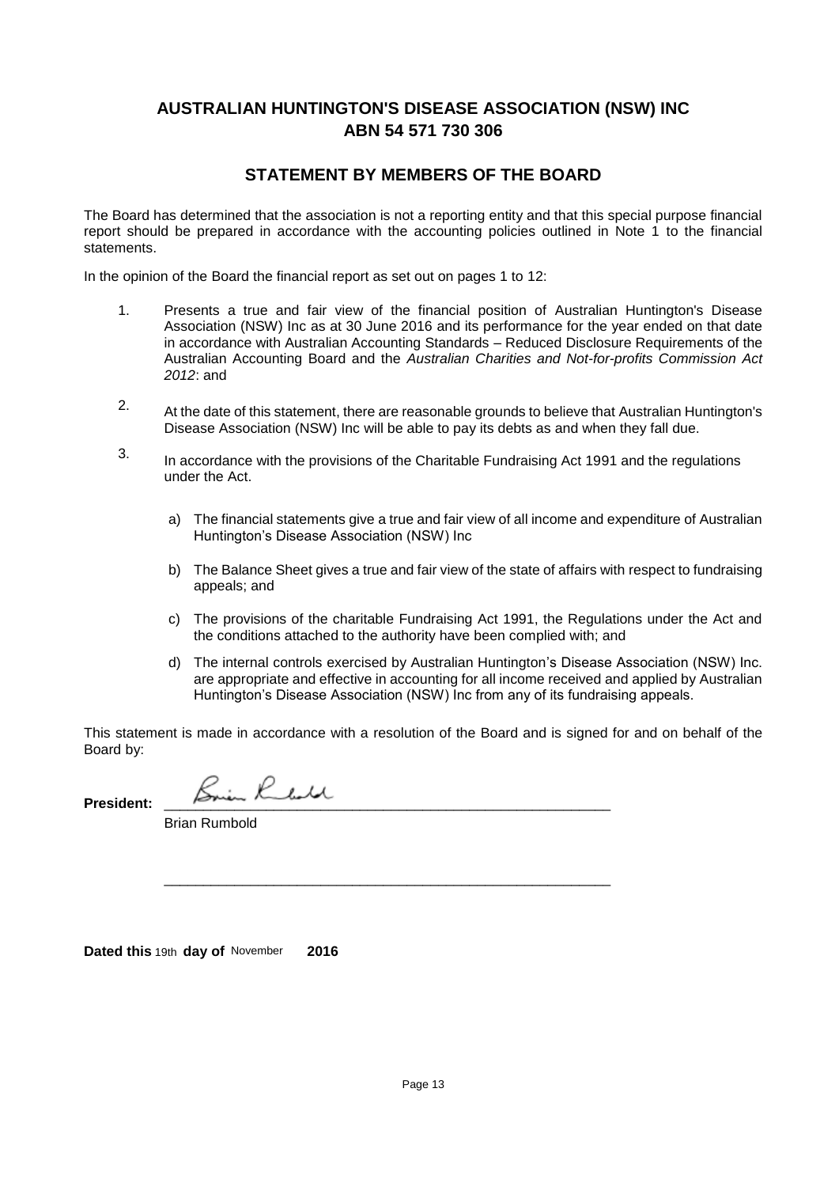### **STATEMENT BY MEMBERS OF THE BOARD**

The Board has determined that the association is not a reporting entity and that this special purpose financial report should be prepared in accordance with the accounting policies outlined in Note 1 to the financial statements.

In the opinion of the Board the financial report as set out on pages 1 to 12:

- 1. Presents a true and fair view of the financial position of Australian Huntington's Disease Association (NSW) Inc as at 30 June 2016 and its performance for the year ended on that date in accordance with Australian Accounting Standards – Reduced Disclosure Requirements of the Australian Accounting Board and the *Australian Charities and Not-for-profits Commission Act 2012*: and
- 2. At the date of this statement, there are reasonable grounds to believe that Australian Huntington's Disease Association (NSW) Inc will be able to pay its debts as and when they fall due.
- 3. In accordance with the provisions of the Charitable Fundraising Act 1991 and the regulations under the Act.
	- a) The financial statements give a true and fair view of all income and expenditure of Australian Huntington's Disease Association (NSW) Inc
	- b) The Balance Sheet gives a true and fair view of the state of affairs with respect to fundraising appeals; and
	- c) The provisions of the charitable Fundraising Act 1991, the Regulations under the Act and the conditions attached to the authority have been complied with; and
	- d) The internal controls exercised by Australian Huntington's Disease Association (NSW) Inc. are appropriate and effective in accounting for all income received and applied by Australian Huntington's Disease Association (NSW) Inc from any of its fundraising appeals.

This statement is made in accordance with a resolution of the Board and is signed for and on behalf of the Board by:

\_\_\_\_\_\_\_\_\_\_\_\_\_\_\_\_\_\_\_\_\_\_\_\_\_\_\_\_\_\_\_\_\_\_\_\_\_\_\_\_\_\_\_\_\_\_\_\_\_\_\_\_\_\_\_\_\_

**President:** \_\_\_\_\_\_\_\_\_\_\_\_\_\_\_\_\_\_\_\_\_\_\_\_\_\_\_\_\_\_\_\_\_\_\_\_\_\_\_\_\_\_\_\_\_\_\_\_\_\_\_\_\_\_\_\_\_

Brian Rumbold

**Dated this**  19th **day of** November **2016**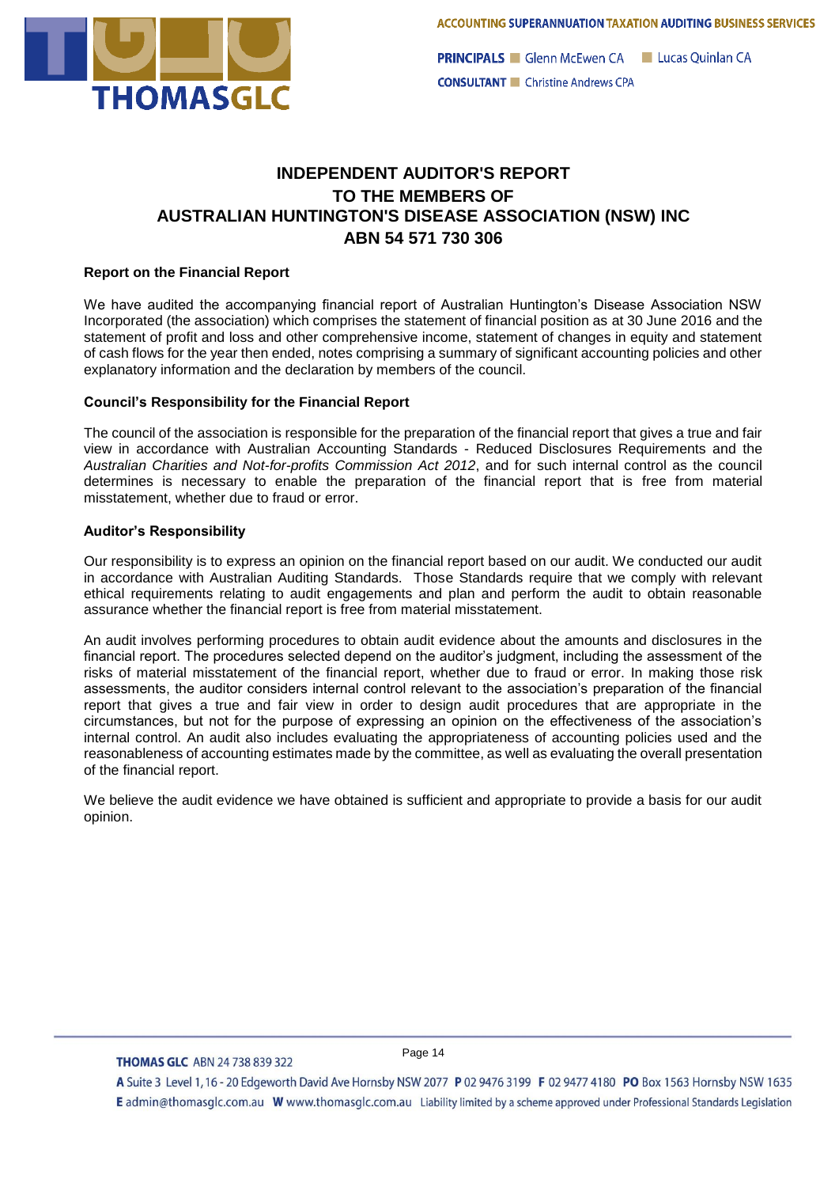

**PRINCIPALS** Glenn McEwen CA Lucas Ouinlan CA **CONSULTANT** Christine Andrews CPA

## **INDEPENDENT AUDITOR'S REPORT TO THE MEMBERS OF AUSTRALIAN HUNTINGTON'S DISEASE ASSOCIATION (NSW) INC ABN 54 571 730 306**

### **Report on the Financial Report**

We have audited the accompanying financial report of Australian Huntington's Disease Association NSW Incorporated (the association) which comprises the statement of financial position as at 30 June 2016 and the statement of profit and loss and other comprehensive income, statement of changes in equity and statement of cash flows for the year then ended, notes comprising a summary of significant accounting policies and other explanatory information and the declaration by members of the council.

#### **Council's Responsibility for the Financial Report**

The council of the association is responsible for the preparation of the financial report that gives a true and fair view in accordance with Australian Accounting Standards - Reduced Disclosures Requirements and the *Australian Charities and Not-for-profits Commission Act 2012*, and for such internal control as the council determines is necessary to enable the preparation of the financial report that is free from material misstatement, whether due to fraud or error.

### **Auditor's Responsibility**

Our responsibility is to express an opinion on the financial report based on our audit. We conducted our audit in accordance with Australian Auditing Standards. Those Standards require that we comply with relevant ethical requirements relating to audit engagements and plan and perform the audit to obtain reasonable assurance whether the financial report is free from material misstatement.

An audit involves performing procedures to obtain audit evidence about the amounts and disclosures in the financial report. The procedures selected depend on the auditor's judgment, including the assessment of the risks of material misstatement of the financial report, whether due to fraud or error. In making those risk assessments, the auditor considers internal control relevant to the association's preparation of the financial report that gives a true and fair view in order to design audit procedures that are appropriate in the circumstances, but not for the purpose of expressing an opinion on the effectiveness of the association's internal control. An audit also includes evaluating the appropriateness of accounting policies used and the reasonableness of accounting estimates made by the committee, as well as evaluating the overall presentation of the financial report.

We believe the audit evidence we have obtained is sufficient and appropriate to provide a basis for our audit opinion.

#### **THOMAS GLC ABN 24 738 839 322**

Page 14

A Suite 3 Level 1, 16 - 20 Edgeworth David Ave Hornsby NSW 2077 P 02 9476 3199 F 02 9477 4180 PO Box 1563 Hornsby NSW 1635 E admin@thomasglc.com.au W www.thomasglc.com.au Liability limited by a scheme approved under Professional Standards Legislation